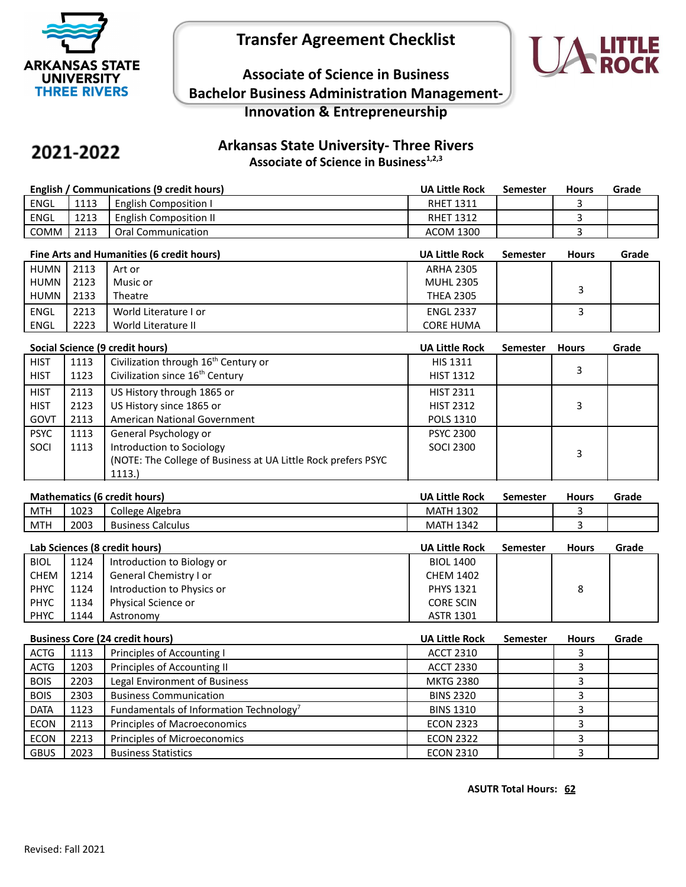

# **Transfer Agreement Checklist**



## **Associate of Science in Business Bachelor Business Administration Management-Innovation & Entrepreneurship**

# 2021-2022

## **Arkansas State University- Three Rivers Associate of Science in Business1,2,3**

| English / Communications (9 credit hours) |      | <b>UA Little Rock</b>  | Semester         | <b>Hours</b> | Grade |  |
|-------------------------------------------|------|------------------------|------------------|--------------|-------|--|
| ENGL                                      | 1113 | English Composition I  | <b>RHET 1311</b> |              |       |  |
| ENGL                                      | 1213 | English Composition II | <b>RHET 1312</b> |              |       |  |
| COMM                                      | 2113 | Oral Communication     | <b>ACOM 1300</b> |              |       |  |

|        | Fine Arts and Humanities (6 credit hours) |                       |                  | <b>Semester</b> | <b>Hours</b> | Grade |
|--------|-------------------------------------------|-----------------------|------------------|-----------------|--------------|-------|
| HUMN I | 2113                                      | Art or                | <b>ARHA 2305</b> |                 |              |       |
| HUMN I | 2123                                      | Music or              | <b>MUHL 2305</b> |                 |              |       |
| HUMN I | 2133                                      | Theatre               | <b>THEA 2305</b> |                 |              |       |
| ENGL   | 2213                                      | World Literature I or | <b>ENGL 2337</b> |                 |              |       |
| ENGL   | 2223                                      | World Literature II   | <b>CORE HUMA</b> |                 |              |       |

|             | Social Science (9 credit hours) |                                                                |                  | <b>Semester</b> | <b>Hours</b> | Grade |
|-------------|---------------------------------|----------------------------------------------------------------|------------------|-----------------|--------------|-------|
| <b>HIST</b> | 1113                            | Civilization through 16 <sup>th</sup> Century or               | <b>HIS 1311</b>  |                 |              |       |
| <b>HIST</b> | 1123                            | Civilization since 16 <sup>th</sup> Century                    | <b>HIST 1312</b> |                 | 3            |       |
| <b>HIST</b> | 2113                            | US History through 1865 or                                     | <b>HIST 2311</b> |                 |              |       |
| <b>HIST</b> | 2123                            | US History since 1865 or                                       | <b>HIST 2312</b> |                 | 3            |       |
| GOVT        | 2113                            | American National Government                                   | <b>POLS 1310</b> |                 |              |       |
| <b>PSYC</b> | 1113                            | General Psychology or                                          | <b>PSYC 2300</b> |                 |              |       |
| SOCI        | 1113                            | Introduction to Sociology                                      | <b>SOCI 2300</b> |                 | 3            |       |
|             |                                 | (NOTE: The College of Business at UA Little Rock prefers PSYC) |                  |                 |              |       |
|             |                                 | 1113.                                                          |                  |                 |              |       |

| <b>Mathematics (6 credit hours)</b> |  |
|-------------------------------------|--|
|-------------------------------------|--|

| <b>Mathematics (6 credit hours)</b> |      | <b>UA Little Rock</b>    | Semester         | <b>Hours</b> | Grade |  |
|-------------------------------------|------|--------------------------|------------------|--------------|-------|--|
| <b>MTH</b>                          | 1023 | College Algebra          | <b>MATH 1302</b> |              |       |  |
| <b>MTH</b>                          | 2003 | <b>Business Calculus</b> | <b>MATH 1342</b> |              |       |  |
|                                     |      |                          |                  |              |       |  |

|             | Lab Sciences (8 credit hours) |                            |                  | <b>Semester</b> | <b>Hours</b> | Grade |
|-------------|-------------------------------|----------------------------|------------------|-----------------|--------------|-------|
| <b>BIOL</b> | 1124                          | Introduction to Biology or | <b>BIOL 1400</b> |                 |              |       |
| <b>CHEM</b> | 1214                          | General Chemistry I or     | <b>CHEM 1402</b> |                 |              |       |
| <b>PHYC</b> | 1124                          | Introduction to Physics or | <b>PHYS 1321</b> |                 | 8            |       |
| <b>PHYC</b> | 1134                          | Physical Science or        | <b>CORE SCIN</b> |                 |              |       |
| <b>PHYC</b> | 1144                          | Astronomy                  | <b>ASTR 1301</b> |                 |              |       |

| <b>Business Core (24 credit hours)</b> |      | <b>UA Little Rock</b>                               | <b>Semester</b>  | <b>Hours</b> | Grade |  |
|----------------------------------------|------|-----------------------------------------------------|------------------|--------------|-------|--|
| <b>ACTG</b>                            | 1113 | Principles of Accounting I                          | <b>ACCT 2310</b> |              |       |  |
| <b>ACTG</b>                            | 1203 | Principles of Accounting II                         | <b>ACCT 2330</b> |              |       |  |
| <b>BOIS</b>                            | 2203 | Legal Environment of Business                       | <b>MKTG 2380</b> |              |       |  |
| <b>BOIS</b>                            | 2303 | <b>Business Communication</b>                       | <b>BINS 2320</b> |              |       |  |
| <b>DATA</b>                            | 1123 | Fundamentals of Information Technology <sup>7</sup> | <b>BINS 1310</b> |              |       |  |
| <b>ECON</b>                            | 2113 | Principles of Macroeconomics                        | <b>ECON 2323</b> |              |       |  |
| <b>ECON</b>                            | 2213 | Principles of Microeconomics                        | <b>ECON 2322</b> |              |       |  |
| <b>GBUS</b>                            | 2023 | <b>Business Statistics</b>                          | <b>ECON 2310</b> |              |       |  |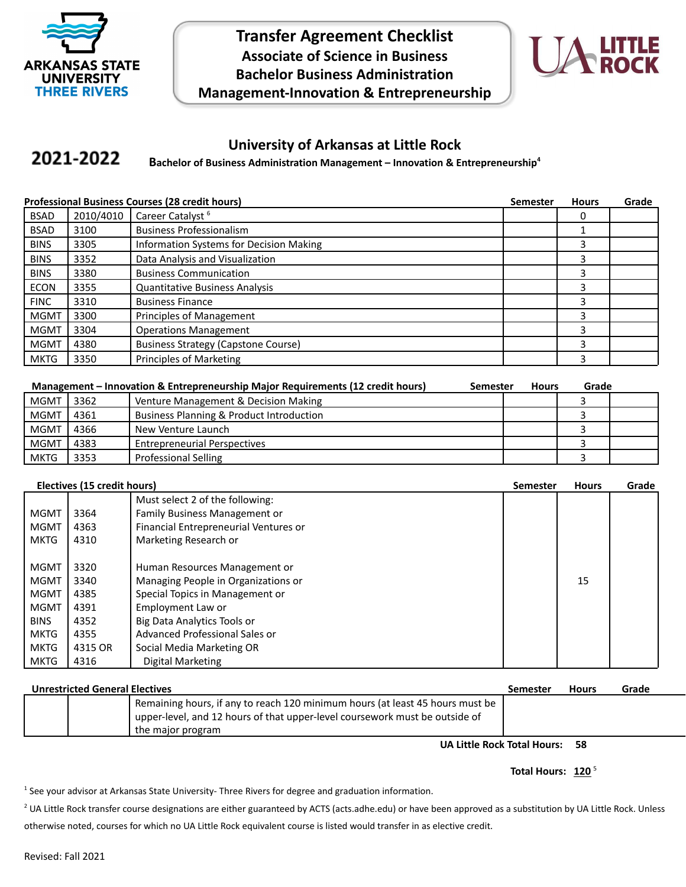

**Transfer Agreement Checklist Associate of Science in Business Bachelor Business Administration Management-Innovation & Entrepreneurship**



### **University of Arkansas at Little Rock**

#### 2021-2022 **Bachelor of Business Administration Management – Innovation & Entrepreneurship<sup>4</sup>**

|             | <b>Professional Business Courses (28 credit hours)</b> |                                            |  | <b>Hours</b> | Grade |
|-------------|--------------------------------------------------------|--------------------------------------------|--|--------------|-------|
| <b>BSAD</b> | 2010/4010                                              | Career Catalyst <sup>6</sup>               |  |              |       |
| <b>BSAD</b> | 3100                                                   | <b>Business Professionalism</b>            |  |              |       |
| <b>BINS</b> | 3305                                                   | Information Systems for Decision Making    |  | 3            |       |
| <b>BINS</b> | 3352                                                   | Data Analysis and Visualization            |  | 3            |       |
| <b>BINS</b> | 3380                                                   | <b>Business Communication</b>              |  | 3            |       |
| <b>ECON</b> | 3355                                                   | <b>Quantitative Business Analysis</b>      |  | 3            |       |
| <b>FINC</b> | 3310                                                   | <b>Business Finance</b>                    |  | 3            |       |
| <b>MGMT</b> | 3300                                                   | Principles of Management                   |  | 3            |       |
| <b>MGMT</b> | 3304                                                   | <b>Operations Management</b>               |  | 3            |       |
| <b>MGMT</b> | 4380                                                   | <b>Business Strategy (Capstone Course)</b> |  | 3            |       |
| MKTG        | 3350                                                   | Principles of Marketing                    |  | 3            |       |

| Management – Innovation & Entrepreneurship Major Requirements (12 credit hours)<br>Semester |      |                                                     | <b>Hours</b> | Grade |  |
|---------------------------------------------------------------------------------------------|------|-----------------------------------------------------|--------------|-------|--|
| <b>MGMT</b>                                                                                 | 3362 | Venture Management & Decision Making                |              |       |  |
| <b>MGMT</b>                                                                                 | 4361 | <b>Business Planning &amp; Product Introduction</b> |              |       |  |
| <b>MGMT</b>                                                                                 | 4366 | New Venture Launch                                  |              |       |  |
| <b>MGMT</b>                                                                                 | 4383 | <b>Entrepreneurial Perspectives</b>                 |              |       |  |
| <b>MKTG</b>                                                                                 | 3353 | <b>Professional Selling</b>                         |              |       |  |

|  | Electives (15 credit hours) |  |
|--|-----------------------------|--|
|  |                             |  |

|             | Electives (15 credit hours) |                                       | <b>Semester</b> | <b>Hours</b> | Grade |
|-------------|-----------------------------|---------------------------------------|-----------------|--------------|-------|
|             |                             | Must select 2 of the following:       |                 |              |       |
| <b>MGMT</b> | 3364                        | Family Business Management or         |                 |              |       |
| <b>MGMT</b> | 4363                        | Financial Entrepreneurial Ventures or |                 |              |       |
| <b>MKTG</b> | 4310                        | Marketing Research or                 |                 |              |       |
|             |                             |                                       |                 |              |       |
| <b>MGMT</b> | 3320                        | Human Resources Management or         |                 |              |       |
| <b>MGMT</b> | 3340                        | Managing People in Organizations or   |                 | 15           |       |
| <b>MGMT</b> | 4385                        | Special Topics in Management or       |                 |              |       |
| <b>MGMT</b> | 4391                        | Employment Law or                     |                 |              |       |
| <b>BINS</b> | 4352                        | Big Data Analytics Tools or           |                 |              |       |
| <b>MKTG</b> | 4355                        | Advanced Professional Sales or        |                 |              |       |
| <b>MKTG</b> | 4315 OR                     | Social Media Marketing OR             |                 |              |       |
| <b>MKTG</b> | 4316                        | Digital Marketing                     |                 |              |       |

| <b>Unrestricted General Electives</b> |  |                                                                               | <b>Semester</b> | <b>Hours</b> | Grade |
|---------------------------------------|--|-------------------------------------------------------------------------------|-----------------|--------------|-------|
|                                       |  | Remaining hours, if any to reach 120 minimum hours (at least 45 hours must be |                 |              |       |
|                                       |  | upper-level, and 12 hours of that upper-level coursework must be outside of   |                 |              |       |
|                                       |  | the major program                                                             |                 |              |       |

**UA Little Rock Total Hours: 58**

#### **Total Hours: 120** <sup>5</sup>

1 See your advisor at Arkansas State University- Three Rivers for degree and graduation information.

<sup>2</sup> UA Little Rock transfer course designations are either guaranteed by ACTS (acts.adhe.edu) or have been approved as a substitution by UA Little Rock. Unless otherwise noted, courses for which no UA Little Rock equivalent course is listed would transfer in as elective credit.